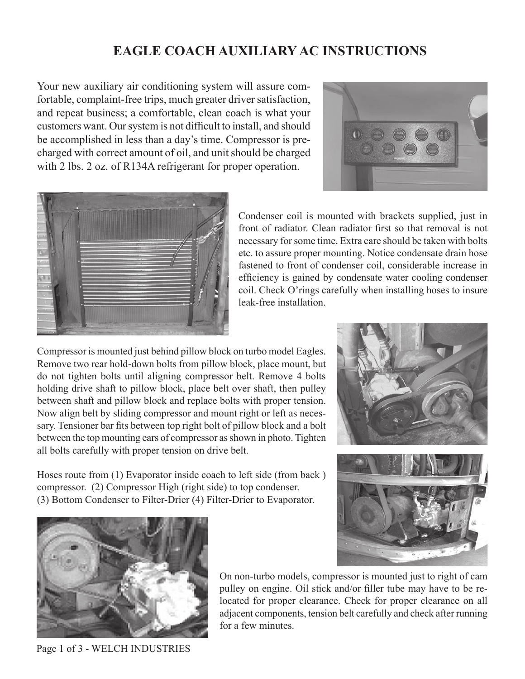## **EAGLE COACH AUXILIARY AC INSTRUCTIONS**

Your new auxiliary air conditioning system will assure comfortable, complaint-free trips, much greater driver satisfaction, and repeat business; a comfortable, clean coach is what your customers want. Our system is not difficult to install, and should be accomplished in less than a day's time. Compressor is precharged with correct amount of oil, and unit should be charged with 2 lbs. 2 oz. of R134A refrigerant for proper operation.





Condenser coil is mounted with brackets supplied, just in front of radiator. Clean radiator first so that removal is not necessary for some time. Extra care should be taken with bolts etc. to assure proper mounting. Notice condensate drain hose fastened to front of condenser coil, considerable increase in efficiency is gained by condensate water cooling condenser coil. Check O'rings carefully when installing hoses to insure leak-free installation.

Compressor is mounted just behind pillow block on turbo model Eagles. Remove two rear hold-down bolts from pillow block, place mount, but do not tighten bolts until aligning compressor belt. Remove 4 bolts holding drive shaft to pillow block, place belt over shaft, then pulley between shaft and pillow block and replace bolts with proper tension. Now align belt by sliding compressor and mount right or left as necessary. Tensioner bar fits between top right bolt of pillow block and a bolt between the top mounting ears of compressor as shown in photo. Tighten all bolts carefully with proper tension on drive belt.

Hoses route from (1) Evaporator inside coach to left side (from back ) compressor. (2) Compressor High (right side) to top condenser. (3) Bottom Condenser to Filter-Drier (4) Filter-Drier to Evaporator.





Page 1 of 3 - WELCH INDUSTRIES

On non-turbo models, compressor is mounted just to right of cam pulley on engine. Oil stick and/or filler tube may have to be relocated for proper clearance. Check for proper clearance on all adjacent components, tension belt carefully and check after running for a few minutes.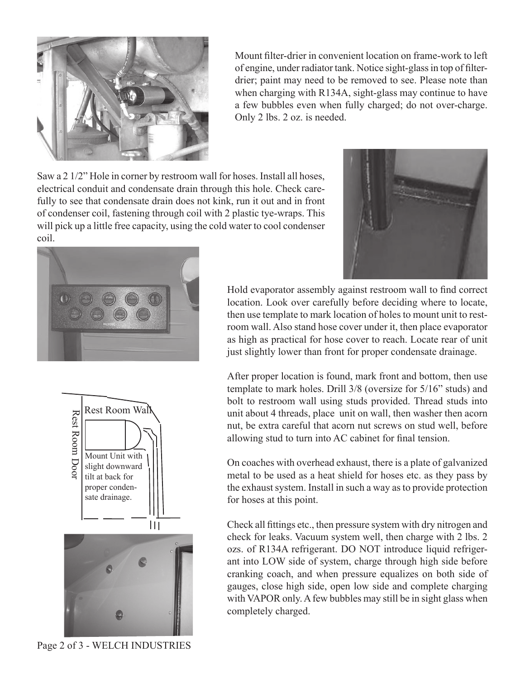

Mount filter-drier in convenient location on frame-work to left of engine, under radiator tank. Notice sight-glass in top of filterdrier; paint may need to be removed to see. Please note than when charging with R134A, sight-glass may continue to have a few bubbles even when fully charged; do not over-charge. Only 2 lbs. 2 oz. is needed.

Saw a 2 1/2" Hole in corner by restroom wall for hoses. Install all hoses, electrical conduit and condensate drain through this hole. Check carefully to see that condensate drain does not kink, run it out and in front of condenser coil, fastening through coil with 2 plastic tye-wraps. This will pick up a little free capacity, using the cold water to cool condenser coil.







Hold evaporator assembly against restroom wall to find correct location. Look over carefully before deciding where to locate, then use template to mark location of holes to mount unit to restroom wall. Also stand hose cover under it, then place evaporator as high as practical for hose cover to reach. Locate rear of unit just slightly lower than front for proper condensate drainage.

After proper location is found, mark front and bottom, then use template to mark holes. Drill 3/8 (oversize for 5/16" studs) and bolt to restroom wall using studs provided. Thread studs into unit about 4 threads, place unit on wall, then washer then acorn nut, be extra careful that acorn nut screws on stud well, before allowing stud to turn into AC cabinet for final tension.

On coaches with overhead exhaust, there is a plate of galvanized metal to be used as a heat shield for hoses etc. as they pass by the exhaust system. Install in such a way as to provide protection for hoses at this point.

Check all fittings etc., then pressure system with dry nitrogen and check for leaks. Vacuum system well, then charge with 2 lbs. 2 ozs. of R134A refrigerant. DO NOT introduce liquid refrigerant into LOW side of system, charge through high side before cranking coach, and when pressure equalizes on both side of gauges, close high side, open low side and complete charging with VAPOR only. A few bubbles may still be in sight glass when completely charged.

Page 2 of 3 - WELCH INDUSTRIES